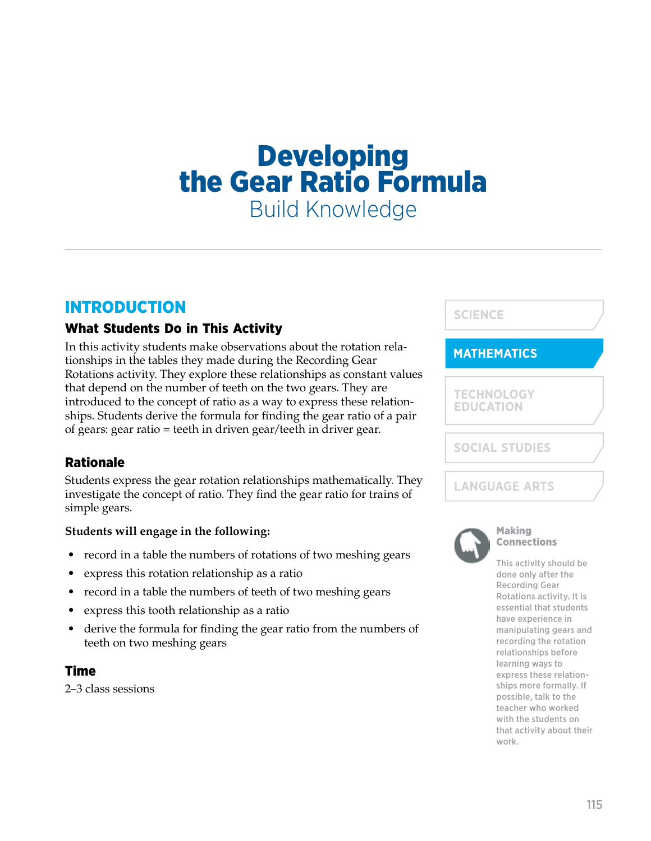# **Developing<br>the Gear Ratio Formula** Build Knowledge

## INTRODUCTION

## What Students Do in This Activity

In this activity students make observations about the rotation relationships in the tables they made during the Recording Gear Rotations activity. They explore these relationships as constant values that depend on the number of teeth on the two gears. They are introduced to the concept of ratio as a way to express these relationships. Students derive the formula for finding the gear ratio of a pair of gears: gear ratio = teeth in driven gear/teeth in driver gear.

#### Rationale

Students express the gear rotation relationships mathematically. They investigate the concept of ratio. They find the gear ratio for trains of simple gears.

#### **Students will engage in the following:**

- record in a table the numbers of rotations of two meshing gears
- express this rotation relationship as a ratio
- record in a table the numbers of teeth of two meshing gears
- express this tooth relationship as a ratio
- derive the formula for finding the gear ratio from the numbers of teeth on two meshing gears

#### Time

2–3 class sessions



#### **MATHEMATICS**

**TECHNOLOGY EDUCATION**

**SOCIAL STUDIES**

**LANGUAGE ARTS**



#### Making Connections

This activity should be done only after the Recording Gear Rotations activity. It is essential that students have experience in manipulating gears and recording the rotation relationships before learning ways to express these relationships more formally. If possible, talk to the teacher who worked with the students on that activity about their work.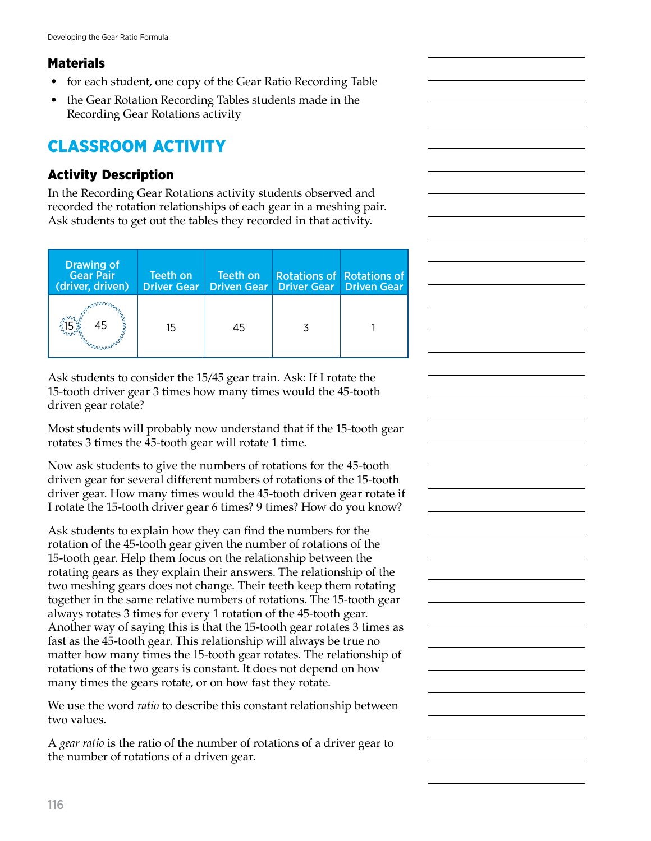## **Materials**

- for each student, one copy of the Gear Ratio Recording Table
- the Gear Rotation Recording Tables students made in the Recording Gear Rotations activity

# CLASSROOM ACTIVITY

## Activity Description

In the Recording Gear Rotations activity students observed and recorded the rotation relationships of each gear in a meshing pair. Ask students to get out the tables they recorded in that activity.

| <b>Drawing of</b><br><b>Gear Pair</b><br>(driver, driven) | Teeth on<br><b>Driver Gear</b> | Teeth on | <b>Driven Gear   Driver Gear   Driven Gear</b> | <b>Rotations of Rotations of</b> |
|-----------------------------------------------------------|--------------------------------|----------|------------------------------------------------|----------------------------------|
| 45<br>annum                                               | 15                             | 45       |                                                |                                  |

Ask students to consider the 15/45 gear train. Ask: If I rotate the 15-tooth driver gear 3 times how many times would the 45-tooth driven gear rotate?

Most students will probably now understand that if the 15-tooth gear rotates 3 times the 45-tooth gear will rotate 1 time.

Now ask students to give the numbers of rotations for the 45-tooth driven gear for several different numbers of rotations of the 15-tooth driver gear. How many times would the 45-tooth driven gear rotate if I rotate the 15-tooth driver gear 6 times? 9 times? How do you know?

Ask students to explain how they can find the numbers for the rotation of the 45-tooth gear given the number of rotations of the 15-tooth gear. Help them focus on the relationship between the rotating gears as they explain their answers. The relationship of the two meshing gears does not change. Their teeth keep them rotating together in the same relative numbers of rotations. The 15-tooth gear always rotates 3 times for every 1 rotation of the 45-tooth gear. Another way of saying this is that the 15-tooth gear rotates 3 times as fast as the 45-tooth gear. This relationship will always be true no matter how many times the 15-tooth gear rotates. The relationship of rotations of the two gears is constant. It does not depend on how many times the gears rotate, or on how fast they rotate.

We use the word *ratio* to describe this constant relationship between two values.

A *gear ratio* is the ratio of the number of rotations of a driver gear to the number of rotations of a driven gear.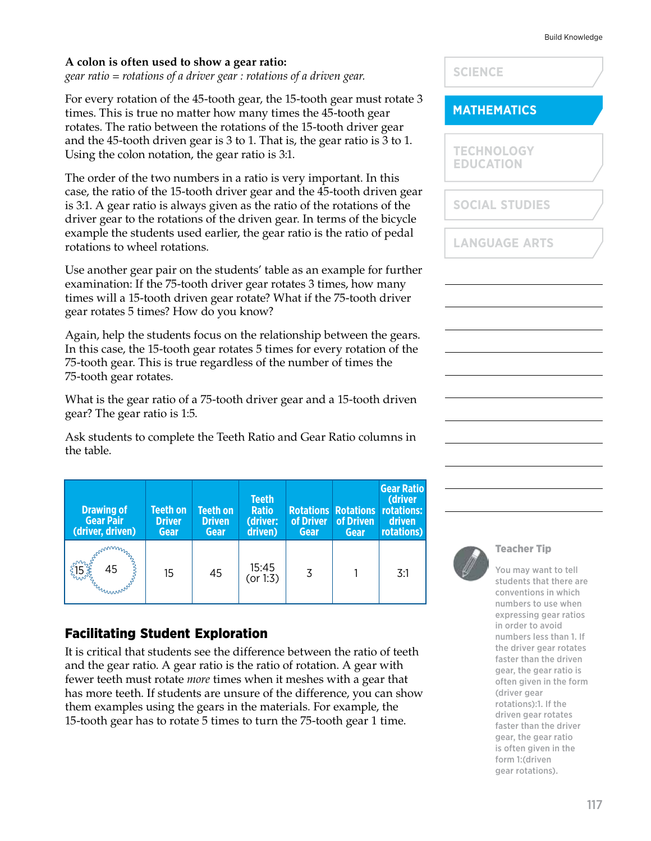#### **A colon is often used to show a gear ratio:**

*gear ratio = rotations of a driver gear : rotations of a driven gear.*

For every rotation of the 45-tooth gear, the 15-tooth gear must rotate 3 times. This is true no matter how many times the 45-tooth gear rotates. The ratio between the rotations of the 15-tooth driver gear and the 45-tooth driven gear is 3 to 1. That is, the gear ratio is 3 to 1. Using the colon notation, the gear ratio is 3:1.

The order of the two numbers in a ratio is very important. In this case, the ratio of the 15-tooth driver gear and the 45-tooth driven gear is 3:1. A gear ratio is always given as the ratio of the rotations of the driver gear to the rotations of the driven gear. In terms of the bicycle example the students used earlier, the gear ratio is the ratio of pedal rotations to wheel rotations.

Use another gear pair on the students' table as an example for further examination: If the 75-tooth driver gear rotates 3 times, how many times will a 15-tooth driven gear rotate? What if the 75-tooth driver gear rotates 5 times? How do you know?

Again, help the students focus on the relationship between the gears. In this case, the 15-tooth gear rotates 5 times for every rotation of the 75-tooth gear. This is true regardless of the number of times the 75-tooth gear rotates.

What is the gear ratio of a 75-tooth driver gear and a 15-tooth driven gear? The gear ratio is 1:5.

Ask students to complete the Teeth Ratio and Gear Ratio columns in the table.

| <b>Drawing of</b><br><b>Gear Pair</b><br>(driver, driven) | Teeth on<br><b>Driver</b><br>Gear | <b>Teeth on</b><br><b>Driven</b><br>Gear | <b>Teeth</b><br><b>Ratio</b><br>(driver:<br>driven) | of Driver<br>Gear | <b>Rotations Rotations</b><br>of Driven<br>Gear | <b>Gear Ratio</b><br>(driver<br>rotations:<br>driven<br>rotations) |
|-----------------------------------------------------------|-----------------------------------|------------------------------------------|-----------------------------------------------------|-------------------|-------------------------------------------------|--------------------------------------------------------------------|
| 45<br>Ermmon                                              | 15                                | 45                                       | 15:45<br>(or 1:3)                                   | 3                 |                                                 | 3:1                                                                |

#### Facilitating Student Exploration

It is critical that students see the difference between the ratio of teeth and the gear ratio. A gear ratio is the ratio of rotation. A gear with fewer teeth must rotate *more* times when it meshes with a gear that has more teeth. If students are unsure of the difference, you can show them examples using the gears in the materials. For example, the 15-tooth gear has to rotate 5 times to turn the 75-tooth gear 1 time.

**SCIENCE**

#### **MATHEMATICS**

**TECHNOLOGY EDUCATION**

**SOCIAL STUDIES**

**LANGUAGE ARTS**



#### Teacher Tip

You may want to tell students that there are conventions in which numbers to use when expressing gear ratios in order to avoid numbers less than 1. If the driver gear rotates faster than the driven gear, the gear ratio is often given in the form (driver gear rotations):1. If the driven gear rotates faster than the driver gear, the gear ratio is often given in the form 1:(driven gear rotations).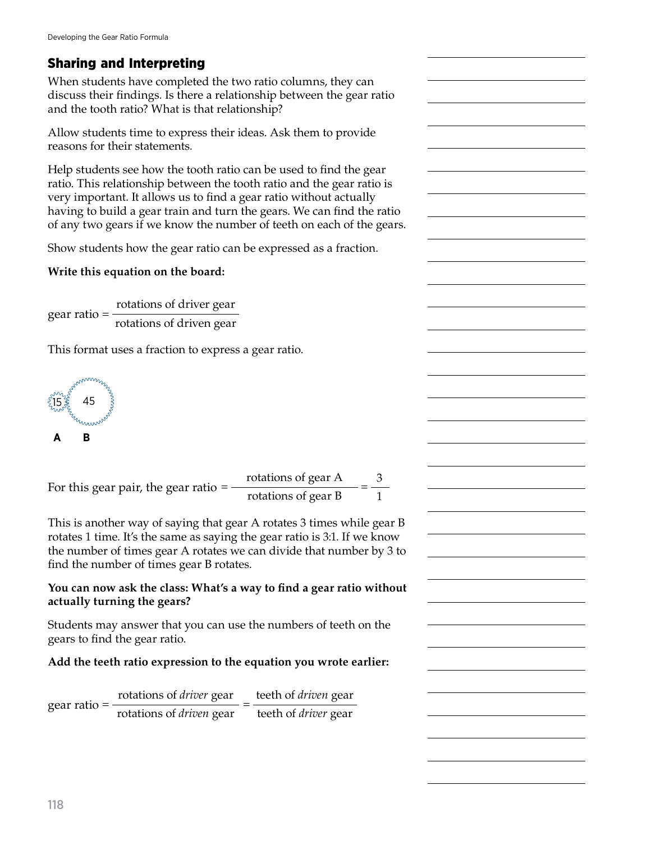## Sharing and Interpreting

When students have completed the two ratio columns, they can discuss their findings. Is there a relationship between the gear ratio and the tooth ratio? What is that relationship?

Allow students time to express their ideas. Ask them to provide reasons for their statements.

Help students see how the tooth ratio can be used to find the gear ratio. This relationship between the tooth ratio and the gear ratio is very important. It allows us to find a gear ratio without actually having to build a gear train and turn the gears. We can find the ratio of any two gears if we know the number of teeth on each of the gears.

Show students how the gear ratio can be expressed as a fraction.

#### **Write this equation on the board:**

gear ratio =  $\frac{\text{rotations of driver gear}}{\text{coker}}$ rotations of driven gear

This format uses a fraction to express a gear ratio.



For this gear pair, the gear ratio =  $\frac{\text{rotations of gear A}}{\text{rotations of gas B}}$ rotations of gear B 3 1

This is another way of saying that gear A rotates 3 times while gear B rotates 1 time. It's the same as saying the gear ratio is 3:1. If we know the number of times gear A rotates we can divide that number by 3 to find the number of times gear B rotates.

#### **You can now ask the class: What's a way to find a gear ratio without actually turning the gears?**

Students may answer that you can use the numbers of teeth on the gears to find the gear ratio.

#### **Add the teeth ratio expression to the equation you wrote earlier:**

gear ratio = = rotations of *driver* gear rotations of *driven* gear teeth of *driven* gear teeth of *driver* gear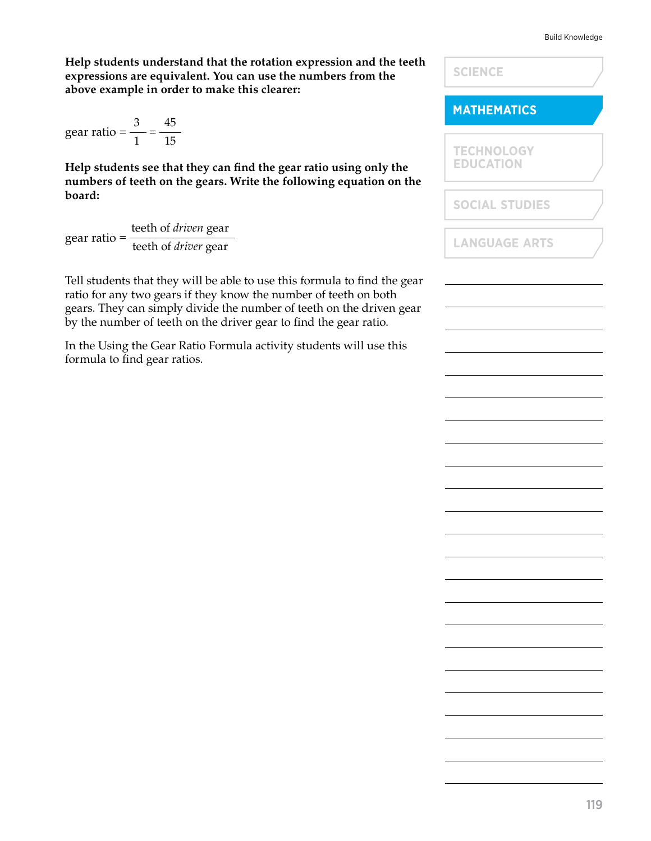#### Build Knowledge

**Help students understand that the rotation expression and the teeth expressions are equivalent. You can use the numbers from the above example in order to make this clearer:**

gear ratio =  $\frac{3}{1}$  = 1 45 15

**Help students see that they can find the gear ratio using only the**  numbers of teeth on the gears. Write the following equation on tl **board:**

gear ratio <sup>=</sup>teeth of *driven* gear teeth of *driver* gear

Tell students that they will be able to use this formula to find the ge ratio for any two gears if they know the number of teeth on both gears. They can simply divide the number of teeth on the driven gear by the number of teeth on the driver gear to find the gear ratio.

In the Using the Gear Ratio Formula activity students will use this formula to find gear ratios.

|      | <b>SCIENCE</b>                        |  |
|------|---------------------------------------|--|
|      | <b>MATHEMATICS</b>                    |  |
| he   | <b>TECHNOLOGY</b><br><b>EDUCATION</b> |  |
|      | <b>SOCIAL STUDIES</b>                 |  |
|      | <b>LANGUAGE ARTS</b>                  |  |
| ear  |                                       |  |
| ear! |                                       |  |
|      |                                       |  |
|      |                                       |  |
|      |                                       |  |
|      |                                       |  |
|      |                                       |  |
|      |                                       |  |
|      |                                       |  |
|      |                                       |  |
|      |                                       |  |
|      |                                       |  |
|      |                                       |  |
|      |                                       |  |
|      |                                       |  |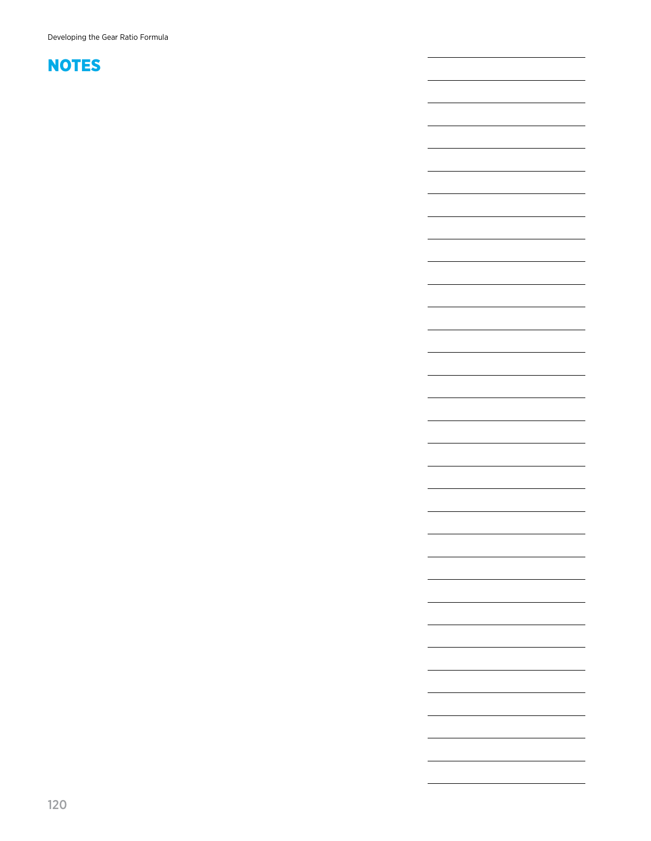Developing the Gear Ratio Formula

L.

 $\overline{\phantom{0}}$ 

<u> 1989 - Johann Barbara, martxa al III-lea (h. 1989).</u>

<u> 1989 - Johann Barn, amerikansk politiker (</u>

the control of the control of the control of the control of the control of

<u> 1989 - Johann Barn, amerikansk politiker (</u>

 $\overline{\phantom{0}}$ 

 $\overline{\phantom{0}}$ 

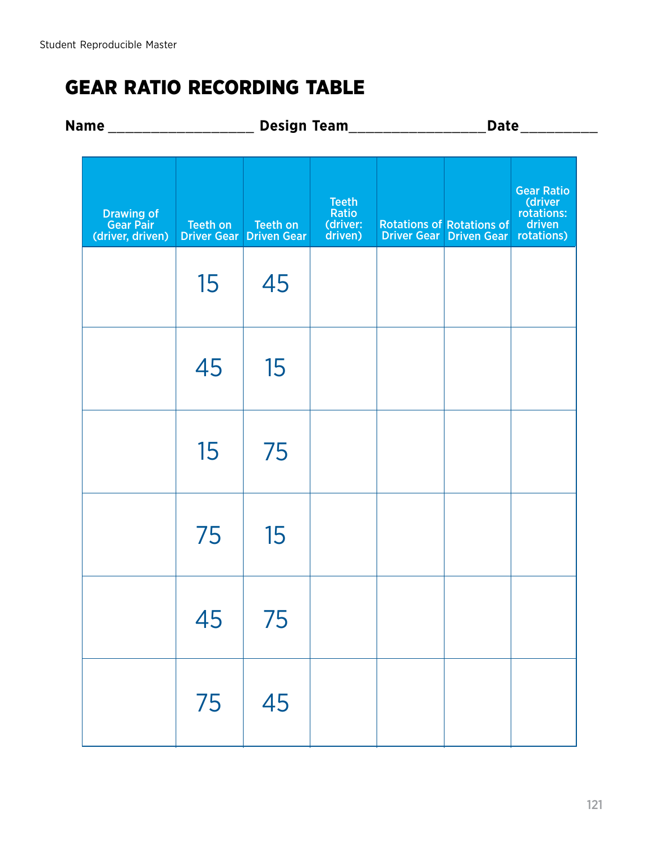# GEAR RATIO RECORDING TABLE

| Name ________________________                   |          | Design Team________________                |                                              |  | Date <b>Date</b>                                                   |                                                                    |
|-------------------------------------------------|----------|--------------------------------------------|----------------------------------------------|--|--------------------------------------------------------------------|--------------------------------------------------------------------|
| <b>Drawing of Gear Pair</b><br>(driver, driven) | Teeth on | Teeth on<br><b>Driver Gear Driven Gear</b> | <b>Teeth</b><br>Ratio<br>(driver:<br>driven) |  | <b>Rotations of Rotations of</b><br><b>Driver Gear Driven Gear</b> | <b>Gear Ratio</b><br>(driver<br>rotations:<br>driven<br>rotations) |
|                                                 | 15       | 45                                         |                                              |  |                                                                    |                                                                    |
|                                                 | 45       | 15                                         |                                              |  |                                                                    |                                                                    |
|                                                 | 15       | 75                                         |                                              |  |                                                                    |                                                                    |
|                                                 | 75       | 15                                         |                                              |  |                                                                    |                                                                    |
|                                                 | 45       | 75                                         |                                              |  |                                                                    |                                                                    |
|                                                 | 75       | 45                                         |                                              |  |                                                                    |                                                                    |